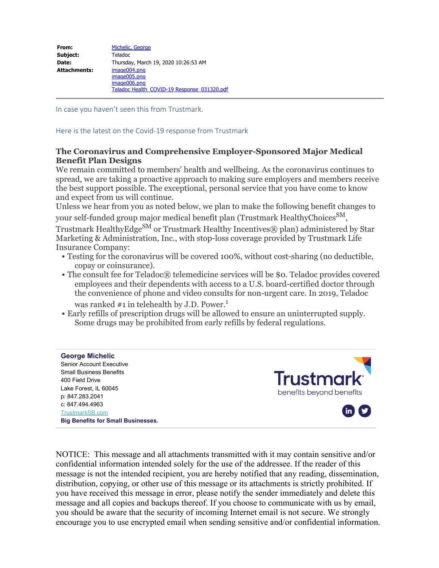| From:        | Michelic, George                                                                            |
|--------------|---------------------------------------------------------------------------------------------|
| Subject:     | Teladoc                                                                                     |
| Date:        | Thursday, March 19, 2020 10:26:53 AM                                                        |
| Attachments: | image004.png<br>image005.png<br>image006.png<br>Teladoc Health COVID-19 Response 031320.pdf |

In case you haven't seen this from Trustmark.

Here is the latest on the Covid-19 response from Trustmark

## **The Coronavirus and Comprehensive Employer-Sponsored Major Medical Benefit Plan Designs**

We remain committed to members' health and wellbeing. As the coronavirus continues to spread, we are taking a proactive approach to making sure employers and members receive the best support possible. The exceptional, personal service that you have come to know and expect from us will continue.

Unless we hear from you as noted below, we plan to make the following benefit changes to your self-funded group major medical benefit plan (Trustmark HealthyChoices<sup>SM</sup>,

Trustmark HealthyEdge<sup>SM</sup> or Trustmark Healthy Incentives® plan) administered by Star Marketing & Administration, Inc., with stop-loss coverage provided by Trustmark Life Insurance Company:

- § Testing for the coronavirus will be covered 100%, without cost-sharing (no deductible, copay or coinsurance).
- The consult fee for Teladoc® telemedicine services will be \$0. Teladoc provides covered employees and their dependents with access to a U.S. board-certified doctor through the convenience of phone and video consults for non-urgent care. In 2019, Teladoc was ranked  $#1$  in telehealth by J.D. Power.<sup>1</sup>
- § Early refills of prescription drugs will be allowed to ensure an uninterrupted supply. Some drugs may be prohibited from early refills by federal regulations.

## **George Michelic**

Senior Account Executive Small Business Benefits 400 Field Drive Lake Forest, IL 60045 p: 847.283.2041 c: 847.494.4963 [TrustmarkSB.com](https://trustmarksb.com/) **Big Benefits for Small Businesses.**



NOTICE: This message and all attachments transmitted with it may contain sensitive and/or confidential information intended solely for the use of the addressee. If the reader of this message is not the intended recipient, you are hereby notified that any reading, dissemination, distribution, copying, or other use of this message or its attachments is strictly prohibited. If you have received this message in error, please notify the sender immediately and delete this message and all copies and backups thereof. If you choose to communicate with us by email, you should be aware that the security of incoming Internet email is not secure. We strongly encourage you to use encrypted email when sending sensitive and/or confidential information.